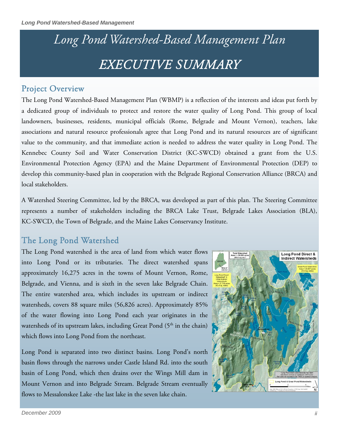# *Long Pond Watershed-Based Management Plan EXECUTIVE SUMMARY*

#### Project Overview

The Long Pond Watershed-Based Management Plan (WBMP) is a reflection of the interests and ideas put forth by a dedicated group of individuals to protect and restore the water quality of Long Pond. This group of local landowners, businesses, residents, municipal officials (Rome, Belgrade and Mount Vernon), teachers, lake associations and natural resource professionals agree that Long Pond and its natural resources are of significant value to the community, and that immediate action is needed to address the water quality in Long Pond. The Kennebec County Soil and Water Conservation District (KC-SWCD) obtained a grant from the U.S. Environmental Protection Agency (EPA) and the Maine Department of Environmental Protection (DEP) to develop this community-based plan in cooperation with the Belgrade Regional Conservation Alliance (BRCA) and local stakeholders.

A Watershed Steering Committee, led by the BRCA, was developed as part of this plan. The Steering Committee represents a number of stakeholders including the BRCA Lake Trust, Belgrade Lakes Association (BLA), KC-SWCD, the Town of Belgrade, and the Maine Lakes Conservancy Institute.

## The Long Pond Watershed

The Long Pond watershed is the area of land from which water flows into Long Pond or its tributaries. The direct watershed spans approximately 16,275 acres in the towns of Mount Vernon, Rome, Belgrade, and Vienna, and is sixth in the seven lake Belgrade Chain. The entire watershed area, which includes its upstream or indirect watersheds, covers 88 square miles (56,826 acres). Approximately 85% of the water flowing into Long Pond each year originates in the watersheds of its upstream lakes, including Great Pond (5<sup>th</sup> in the chain) which flows into Long Pond from the northeast.

Long Pond is separated into two distinct basins. Long Pond's north basin flows through the narrows under Castle Island Rd. into the south basin of Long Pond, which then drains over the Wings Mill dam in Mount Vernon and into Belgrade Stream. Belgrade Stream eventually flows to Messalonskee Lake -the last lake in the seven lake chain.

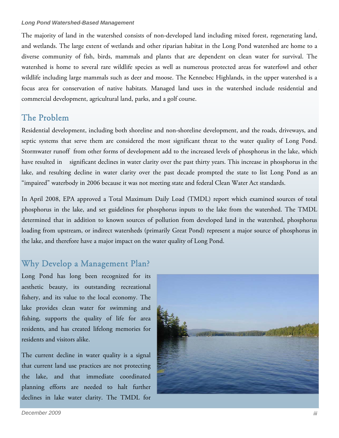The majority of land in the watershed consists of non-developed land including mixed forest, regenerating land, and wetlands. The large extent of wetlands and other riparian habitat in the Long Pond watershed are home to a diverse community of fish, birds, mammals and plants that are dependent on clean water for survival. The watershed is home to several rare wildlife species as well as numerous protected areas for waterfowl and other wildlife including large mammals such as deer and moose. The Kennebec Highlands, in the upper watershed is a focus area for conservation of native habitats. Managed land uses in the watershed include residential and commercial development, agricultural land, parks, and a golf course.

#### The Problem

Residential development, including both shoreline and non-shoreline development, and the roads, driveways, and septic systems that serve them are considered the most significant threat to the water quality of Long Pond. Stormwater runoff from other forms of development add to the increased levels of phosphorus in the lake, which have resulted in significant declines in water clarity over the past thirty years. This increase in phosphorus in the lake, and resulting decline in water clarity over the past decade prompted the state to list Long Pond as an "impaired" waterbody in 2006 because it was not meeting state and federal Clean Water Act standards.

In April 2008, EPA approved a Total Maximum Daily Load (TMDL) report which examined sources of total phosphorus in the lake, and set guidelines for phosphorus inputs to the lake from the watershed. The TMDL determined that in addition to known sources of pollution from developed land in the watershed, phosphorus loading from upstream, or indirect watersheds (primarily Great Pond) represent a major source of phosphorus in the lake, and therefore have a major impact on the water quality of Long Pond.

## Why Develop a Management Plan?

Long Pond has long been recognized for its aesthetic beauty, its outstanding recreational fishery, and its value to the local economy. The lake provides clean water for swimming and fishing, supports the quality of life for area residents, and has created lifelong memories for residents and visitors alike.

The current decline in water quality is a signal that current land use practices are not protecting the lake, and that immediate coordinated planning efforts are needed to halt further declines in lake water clarity. The TMDL for

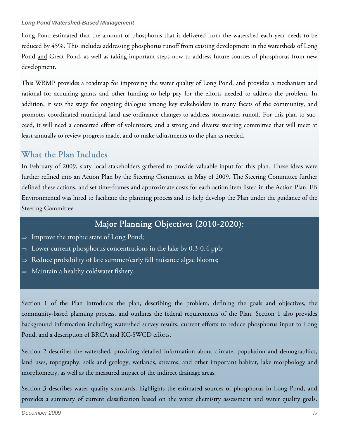Long Pond estimated that the amount of phosphorus that is delivered from the watershed each year needs to be reduced by 45%. This includes addressing phosphorus runoff from existing development in the watersheds of Long Pond and Great Pond, as well as taking important steps now to address future sources of phosphorus from new development.

This WBMP provides a roadmap for improving the water quality of Long Pond, and provides a mechanism and rational for acquiring grants and other funding to help pay for the efforts needed to address the problem. In addition, it sets the stage for ongoing dialogue among key stakeholders in many facets of the community, and promotes coordinated municipal land use ordinance changes to address stormwater runoff. For this plan to succeed, it will need a concerted effort of volunteers, and a strong and diverse steering committee that will meet at least annually to review progress made, and to make adjustments to the plan as needed.

# What the Plan Includes

In February of 2009, sixty local stakeholders gathered to provide valuable input for this plan. These ideas were further refined into an Action Plan by the Steering Committee in May of 2009. The Steering Committee further defined these actions, and set time-frames and approximate costs for each action item listed in the Action Plan. FB Environmental was hired to facilitate the planning process and to help develop the Plan under the guidance of the Steering Committee.

# Major Planning Objectives (2010-2020):

- $\Rightarrow$  Improve the trophic state of Long Pond;
- $\Rightarrow$  Lower current phosphorus concentrations in the lake by 0.3-0.4 ppb;
- Reduce probability of late summer/early fall nuisance algae blooms;
- $\Rightarrow$  Maintain a healthy coldwater fishery.

Section 1 of the Plan introduces the plan, describing the problem, defining the goals and objectives, the community-based planning process, and outlines the federal requirements of the Plan. Section 1 also provides background information including watershed survey results, current efforts to reduce phosphorus input to Long Pond, and a description of BRCA and KC-SWCD efforts.

Section 2 describes the watershed, providing detailed information about climate, population and demographics, land uses, topography, soils and geology, wetlands, streams, and other important habitat, lake morphology and morphometry, as well as the measured impact of the indirect drainage areas.

Section 3 describes water quality standards, highlights the estimated sources of phosphorus in Long Pond, and provides a summary of current classification based on the water chemistry assessment and water quality goals.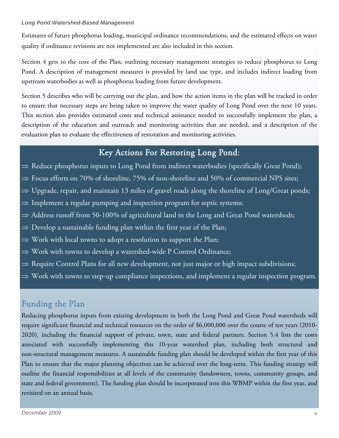Estimates of future phosphorus loading, municipal ordinance recommendations, and the estimated effects on water quality if ordinance revisions are not implemented are also included in this section.

Section 4 gets to the core of the Plan, outlining necessary management strategies to reduce phosphorus to Long Pond. A description of management measures is provided by land use type, and includes indirect loading from upstream waterbodies as well as phosphorus loading from future development.

Section 5 describes who will be carrying out the plan, and how the action items in the plan will be tracked in order to ensure that necessary steps are being taken to improve the water quality of Long Pond over the next 10 years. This section also provides estimated costs and technical assistance needed to successfully implement the plan, a description of the education and outreach and monitoring activities that are needed, and a description of the evaluation plan to evaluate the effectiveness of restoration and monitoring activities.

#### Key Actions For Restoring Long Pond:

- ⇒ Reduce phosphorus inputs to Long Pond from indirect waterbodies (specifically Great Pond);
- $\Rightarrow$  Focus efforts on 70% of shoreline, 75% of non-shoreline and 50% of commercial NPS sites;
- $\Rightarrow$  Upgrade, repair, and maintain 13 miles of gravel roads along the shoreline of Long/Great ponds;
- $\Rightarrow$  Implement a regular pumping and inspection program for septic systems;
- ⇒ Address runoff from 50-100% of agricultural land in the Long and Great Pond watersheds;
- $\Rightarrow$  Develop a sustainable funding plan within the first year of the Plan;
- $\Rightarrow$  Work with local towns to adopt a resolution to support the Plan;
- $\Rightarrow$  Work with towns to develop a watershed-wide P Control Ordinance;
- ⇒ Require Control Plans for all new development, not just major or high impact subdivisions;
- $\Rightarrow$  Work with towns to step-up compliance inspections, and implement a regular inspection program.

#### Funding the Plan

Reducing phosphorus inputs from existing development in both the Long Pond and Great Pond watersheds will require significant financial and technical resources on the order of \$6,000,000 over the course of ten years (2010- 2020), including the financial support of private, town, state and federal partners. Section 5.4 lists the costs associated with successfully implementing this 10-year watershed plan, including both structural and non-structural management measures. A sustainable funding plan should be developed within the first year of this Plan to ensure that the major planning objectives can be achieved over the long-term. This funding strategy will outline the financial responsibilities at all levels of the community (landowners, towns, community groups, and state and federal government). The funding plan should be incorporated into this WBMP within the first year, and revisited on an annual basis.